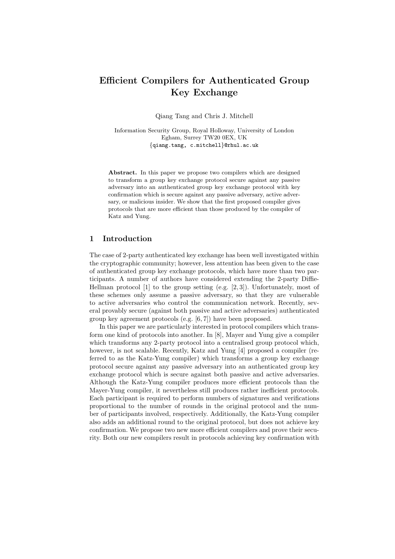# Efficient Compilers for Authenticated Group Key Exchange

Qiang Tang and Chris J. Mitchell

Information Security Group, Royal Holloway, University of London Egham, Surrey TW20 0EX, UK {qiang.tang, c.mitchell}@rhul.ac.uk

Abstract. In this paper we propose two compilers which are designed to transform a group key exchange protocol secure against any passive adversary into an authenticated group key exchange protocol with key confirmation which is secure against any passive adversary, active adversary, or malicious insider. We show that the first proposed compiler gives protocols that are more efficient than those produced by the compiler of Katz and Yung.

# 1 Introduction

The case of 2-party authenticated key exchange has been well investigated within the cryptographic community; however, less attention has been given to the case of authenticated group key exchange protocols, which have more than two participants. A number of authors have considered extending the 2-party Diffie-Hellman protocol  $[1]$  to the group setting (e.g.  $[2,3]$ ). Unfortunately, most of these schemes only assume a passive adversary, so that they are vulnerable to active adversaries who control the communication network. Recently, several provably secure (against both passive and active adversaries) authenticated group key agreement protocols (e.g. [6, 7]) have been proposed.

In this paper we are particularly interested in protocol compilers which transform one kind of protocols into another. In [8], Mayer and Yung give a compiler which transforms any 2-party protocol into a centralised group protocol which, however, is not scalable. Recently, Katz and Yung [4] proposed a compiler (referred to as the Katz-Yung compiler) which transforms a group key exchange protocol secure against any passive adversary into an authenticated group key exchange protocol which is secure against both passive and active adversaries. Although the Katz-Yung compiler produces more efficient protocols than the Mayer-Yung compiler, it nevertheless still produces rather inefficient protocols. Each participant is required to perform numbers of signatures and verifications proportional to the number of rounds in the original protocol and the number of participants involved, respectively. Additionally, the Katz-Yung compiler also adds an additional round to the original protocol, but does not achieve key confirmation. We propose two new more efficient compilers and prove their security. Both our new compilers result in protocols achieving key confirmation with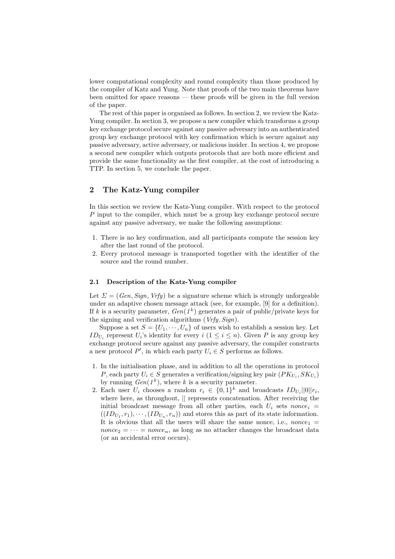lower computational complexity and round complexity than those produced by the compiler of Katz and Yung. Note that proofs of the two main theorems have been omitted for space reasons — these proofs will be given in the full version of the paper.

The rest of this paper is organised as follows. In section 2, we review the Katz-Yung compiler. In section 3, we propose a new compiler which transforms a group key exchange protocol secure against any passive adversary into an authenticated group key exchange protocol with key confirmation which is secure against any passive adversary, active adversary, or malicious insider. In section 4, we propose a second new compiler which outputs protocols that are both more efficient and provide the same functionality as the first compiler, at the cost of introducing a TTP. In section 5, we conclude the paper.

# 2 The Katz-Yung compiler

In this section we review the Katz-Yung compiler. With respect to the protocol P input to the compiler, which must be a group key exchange protocol secure against any passive adversary, we make the following assumptions:

- 1. There is no key confirmation, and all participants compute the session key after the last round of the protocol.
- 2. Every protocol message is transported together with the identifier of the source and the round number.

#### 2.1 Description of the Katz-Yung compiler

Let  $\Sigma = (Gen, Sign, Vrfy)$  be a signature scheme which is strongly unforgeable under an adaptive chosen message attack (see, for example, [9] for a definition). If k is a security parameter,  $Gen(I^k)$  generates a pair of public/private keys for the signing and verification algorithms  $(Vrfy, Sign)$ .

Suppose a set  $S = \{U_1, \dots, U_n\}$  of users wish to establish a session key. Let  $ID_{U_i}$  represent  $U_i$ 's identity for every  $i$   $(1 \leq i \leq n)$ . Given P is any group key exchange protocol secure against any passive adversary, the compiler constructs a new protocol  $P'$ , in which each party  $U_i \in S$  performs as follows.

- 1. In the initialisation phase, and in addition to all the operations in protocol P, each party  $U_i \in S$  generates a verification/signing key pair  $(PK_{U_i}, SK_{U_i})$ by running  $Gen(I^k)$ , where k is a security parameter.
- 2. Each user  $U_i$  chooses a random  $r_i \in \{0,1\}^k$  and broadcasts  $ID_{U_i}||0||r_i$ , where here, as throughout,  $\parallel$  represents concatenation. After receiving the initial broadcast message from all other parties, each  $U_i$  sets nonce<sub>i</sub> =  $((ID_{U_1}, r_1), \cdots, (ID_{U_n}, r_n))$  and stores this as part of its state information. It is obvious that all the users will share the same nonce, i.e.,  $\textit{nonee}_1$  =  $\textit{nonce}_2 = \cdots = \textit{nonce}_n$ , as long as no attacker changes the broadcast data (or an accidental error occurs).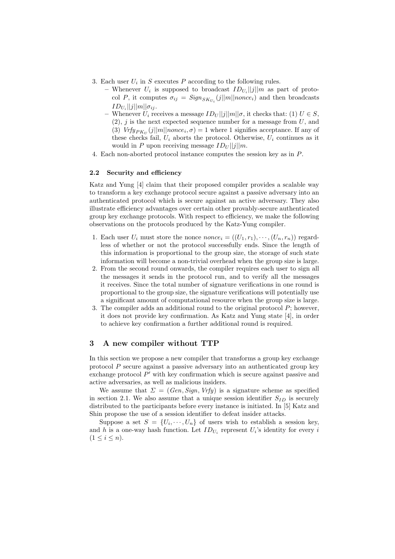- 3. Each user  $U_i$  in S executes P according to the following rules.
	- Whenever  $U_i$  is supposed to broadcast  $ID_{U_i}||j||m$  as part of protocol P, it computes  $\sigma_{ij} = \text{Sign}_{SK_{U_i}}(j||m||nonce_i)$  and then broadcasts  $ID_{U_i}||j||m||\sigma_{ij}$ .
	- Whenever  $U_i$  receives a message  $ID_U||j||m||\sigma$ , it checks that: (1)  $U \in S$ ,  $(2), j$  is the next expected sequence number for a message from U, and (3)  $Vrfy_{PK_U}(j||m||nonce_i, \sigma) = 1$  where 1 signifies acceptance. If any of these checks fail,  $U_i$  aborts the protocol. Otherwise,  $U_i$  continues as it would in P upon receiving message  $ID_U ||j||m$ .
- 4. Each non-aborted protocol instance computes the session key as in P.

#### 2.2 Security and efficiency

Katz and Yung [4] claim that their proposed compiler provides a scalable way to transform a key exchange protocol secure against a passive adversary into an authenticated protocol which is secure against an active adversary. They also illustrate efficiency advantages over certain other provably-secure authenticated group key exchange protocols. With respect to efficiency, we make the following observations on the protocols produced by the Katz-Yung compiler.

- 1. Each user  $U_i$  must store the nonce  $\textit{none}_i = ((U_1, r_1), \cdots, (U_n, r_n))$  regardless of whether or not the protocol successfully ends. Since the length of this information is proportional to the group size, the storage of such state information will become a non-trivial overhead when the group size is large.
- 2. From the second round onwards, the compiler requires each user to sign all the messages it sends in the protocol run, and to verify all the messages it receives. Since the total number of signature verifications in one round is proportional to the group size, the signature verifications will potentially use a significant amount of computational resource when the group size is large.
- 3. The compiler adds an additional round to the original protocol  $P$ ; however, it does not provide key confirmation. As Katz and Yung state [4], in order to achieve key confirmation a further additional round is required.

## 3 A new compiler without TTP

In this section we propose a new compiler that transforms a group key exchange protocol P secure against a passive adversary into an authenticated group key exchange protocol  $P'$  with key confirmation which is secure against passive and active adversaries, as well as malicious insiders.

We assume that  $\Sigma = (Gen, Sign, Vrfy)$  is a signature scheme as specified in section 2.1. We also assume that a unique session identifier  $S_{ID}$  is securely distributed to the participants before every instance is initiated. In [5] Katz and Shin propose the use of a session identifier to defeat insider attacks.

Suppose a set  $S = \{U_i, \dots, U_n\}$  of users wish to establish a session key, and h is a one-way hash function. Let  $ID_{U_i}$  represent  $U_i$ 's identity for every i  $(1 \leq i \leq n).$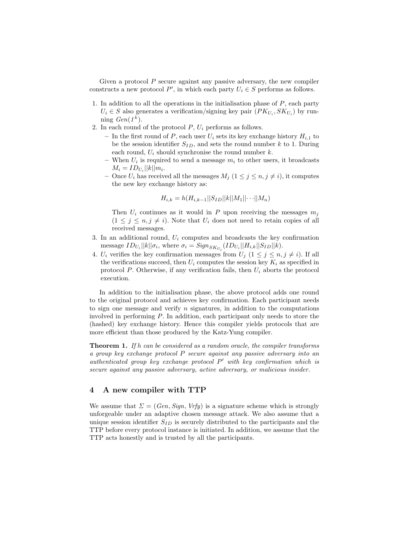Given a protocol  $P$  secure against any passive adversary, the new compiler constructs a new protocol  $P'$ , in which each party  $U_i \in S$  performs as follows.

- 1. In addition to all the operations in the initialisation phase of  $P$ , each party  $U_i \in S$  also generates a verification/signing key pair  $(PK_{U_i}, SK_{U_i})$  by running  $Gen(I^{\overrightarrow{k}})$ .
- 2. In each round of the protocol  $P, U_i$  performs as follows.
	- In the first round of P, each user  $U_i$  sets its key exchange history  $H_{i,1}$  to be the session identifier  $S_{ID}$ , and sets the round number k to 1. During each round,  $U_i$  should synchronise the round number k.
	- When  $U_i$  is required to send a message  $m_i$  to other users, it broadcasts  $M_i = ID_{U_i} ||k|| m_i.$
	- Once  $U_i$  has received all the messages  $M_j$   $(1 \leq j \leq n, j \neq i)$ , it computes the new key exchange history as:

$$
H_{i,k} = h(H_{i,k-1}||S_{ID}||k||M_1||\cdots||M_n)
$$

Then  $U_i$  continues as it would in P upon receiving the messages  $m_i$  $(1 \leq j \leq n, j \neq i)$ . Note that  $U_i$  does not need to retain copies of all received messages.

- 3. In an additional round,  $U_i$  computes and broadcasts the key confirmation message  $ID_{U_i} ||k|| \sigma_i$ , where  $\sigma_i = \text{Sign}_{SK_{U_i}}(ID_{U_i} || H_{i,k} || S_{ID} || k)$ .
- 4.  $U_i$  verifies the key confirmation messages from  $U_j$   $(1 \leq j \leq n, j \neq i)$ . If all the verifications succeed, then  $U_i$  computes the session key  $K_i$  as specified in protocol  $P$ . Otherwise, if any verification fails, then  $U_i$  aborts the protocol execution.

In addition to the initialisation phase, the above protocol adds one round to the original protocol and achieves key confirmation. Each participant needs to sign one message and verify  $n$  signatures, in addition to the computations involved in performing P. In addition, each participant only needs to store the (hashed) key exchange history. Hence this compiler yields protocols that are more efficient than those produced by the Katz-Yung compiler.

**Theorem 1.** If h can be considered as a random oracle, the compiler transforms a group key exchange protocol P secure against any passive adversary into an authenticated group key exchange protocol P' with key confirmation which is secure against any passive adversary, active adversary, or malicious insider.

# 4 A new compiler with TTP

We assume that  $\Sigma = (Gen, Sign, Vrfy)$  is a signature scheme which is strongly unforgeable under an adaptive chosen message attack. We also assume that a unique session identifier  $S_{ID}$  is securely distributed to the participants and the TTP before every protocol instance is initiated. In addition, we assume that the TTP acts honestly and is trusted by all the participants.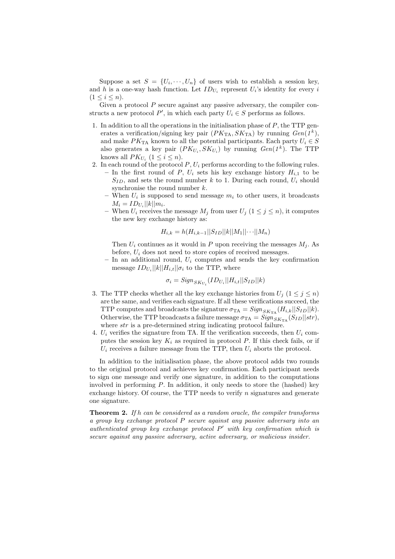Suppose a set  $S = \{U_i, \dots, U_n\}$  of users wish to establish a session key, and h is a one-way hash function. Let  $ID_{U_i}$  represent  $U_i$ 's identity for every i  $(1 \leq i \leq n).$ 

Given a protocol  $P$  secure against any passive adversary, the compiler constructs a new protocol  $P'$ , in which each party  $U_i \in S$  performs as follows.

- 1. In addition to all the operations in the initialisation phase of  $P$ , the TTP generates a verification/signing key pair  $(PK_{TA}, SK_{TA})$  by running  $Gen(I^k)$ , and make  $PK_{TA}$  known to all the potential participants. Each party  $U_i \in S$ also generates a key pair  $(PK_{U_i}, SK_{U_i})$  by running  $Gen(I^k)$ . The TTP knows all  $PK_{U_i}$   $(1 \leq i \leq n)$ .
- 2. In each round of the protocol  $P, U_i$  performs according to the following rules. – In the first round of P,  $U_i$  sets his key exchange history  $H_{i,1}$  to be  $S_{ID}$ , and sets the round number k to 1. During each round,  $U_i$  should synchronise the round number  $k$ .
	- When  $U_i$  is supposed to send message  $m_i$  to other users, it broadcasts  $M_i = ID_{U_i} ||k|| m_i.$
	- When  $U_i$  receives the message  $M_j$  from user  $U_j$   $(1 \le j \le n)$ , it computes the new key exchange history as:

$$
H_{i,k} = h(H_{i,k-1}||S_{ID}||k||M_1||\cdots||M_n)
$$

Then  $U_i$  continues as it would in P upon receiving the messages  $M_i$ . As before,  $U_i$  does not need to store copies of received messages.

– In an additional round,  $U_i$  computes and sends the key confirmation message  $ID_{U_i}$ || $k$ || $H_{i,t}$ || $\sigma_i$  to the TTP, where

$$
\sigma_i = \text{Sign}_{SK_{U_i}}(ID_{U_i} || H_{i,t} || S_{ID} || k)
$$

- 3. The TTP checks whether all the key exchange histories from  $U_j$   $(1 \leq j \leq n)$ are the same, and verifies each signature. If all these verifications succeed, the TTP computes and broadcasts the signature  $\sigma_{TA} = \text{Sign}_{SK_{TA}}(H_{i,k}||S_{ID}||k).$ Otherwise, the TTP broadcasts a failure message  $\sigma_{TA} = \text{Sign}_{SK_{TA}}(S_{ID}||str)$ , where *str* is a pre-determined string indicating protocol failure.
- 4.  $U_i$  verifies the signature from TA. If the verification succeeds, then  $U_i$  computes the session key  $K_i$  as required in protocol  $P$ . If this check fails, or if  $U_i$  receives a failure message from the TTP, then  $U_i$  aborts the protocol.

In addition to the initialisation phase, the above protocol adds two rounds to the original protocol and achieves key confirmation. Each participant needs to sign one message and verify one signature, in addition to the computations involved in performing  $P$ . In addition, it only needs to store the (hashed) key exchange history. Of course, the TTP needs to verify  $n$  signatures and generate one signature.

Theorem 2. If h can be considered as a random oracle, the compiler transforms a group key exchange protocol P secure against any passive adversary into an authenticated group key exchange protocol P' with key confirmation which is secure against any passive adversary, active adversary, or malicious insider.